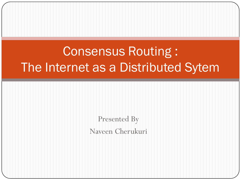# Consensus Routing : The Internet as a Distributed Sytem

Presented By Naveen Cherukuri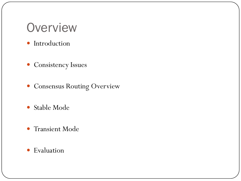### **Overview**

- Introduction
- Consistency Issues
- Consensus Routing Overview
- Stable Mode
- Transient Mode
- **•** Evaluation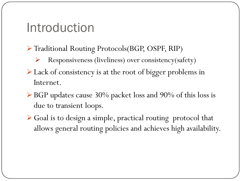### Introduction

- Traditional Routing Protocols(BGP, OSPF, RIP)
	- $\triangleright$  Responsiveness (liveliness) over consistency(safety)
- Eack of consistency is at the root of bigger problems in Internet.
- BGP updates cause 30% packet loss and 90% of this loss is due to transient loops.
- Goal is to design a simple, practical routing protocol that allows general routing policies and achieves high availability.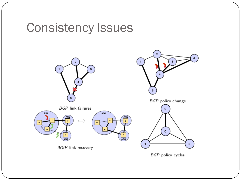# Consistency Issues

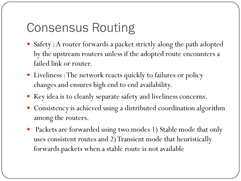# Consensus Routing

- Safety : A router forwards a packet strictly along the path adopted by the upstream routers unless if the adopted route encounters a failed link or router.
- Liveliness : The network reacts quickly to failures or policy changes and ensures high end to end availability.
- Key idea is to cleanly separate safety and liveliness concerns.
- Consistency is achieved using a distributed coordination algorithm among the routers.
- Packets are forwarded using two modes 1) Stable mode that only uses consistent routes and 2) Transient mode that heuristically forwards packets when a stable route is not available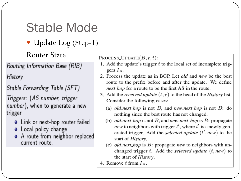# **Stable Mode**

• Update Log (Step-1)

**Router State** 

Routing Information Base (RIB)

History

Stable Forwarding Table (SFT)

Triggers: (AS number, trigger number), when to generate a new trigger

- Link or next-hop router failed
- Local policy change
- A route from neighbor replaced current route.

PROCESS\_UPDATE $(B, r, t)$ :

- 1. Add the update's trigger  $t$  to the local set of incomplete triggers  $I_A$ .
- 2. Process the update as in BGP. Let *old* and *new* be the best route to the prefix before and after the update. We define *next hop* for a route to be the first AS in the route.
- 3. Add the *received update*  $(t, r)$  to the head of the *History* list. Consider the following cases:
	- (a) *old.next\_hop* is not B, and *new.next\_hop* is not B: do nothing since the best route has not changed.
	- (b) *old.next\_hop* is not B, and *new.next\_hop* is B: propagate *new* to neighbors with trigger  $t'$ , where  $t'$  is a newly generated trigger. Add the selected update  $(t', new)$  to the start of History.
	- (c) *old.next\_hop* is  $B$ : propagate *new* to neighbors with unchanged trigger  $t$ . Add the selected update  $(t, new)$  to the start of *History*.
- 4. Remove t from  $I_A$ .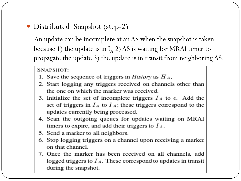• Distributed Snapshot (step-2)

An update can be incomplete at an AS when the snapshot is taken because 1) the update is in  $I_A$  2) AS is waiting for MRAI timer to propagate the update 3) the update is in transit from neighboring AS.

SNAPSHOT:

- 1. Save the sequence of triggers in *History* as  $H_A$ .
- 2. Start logging any triggers received on channels other than the one on which the marker was received.
- 3. Initialize the set of incomplete triggers  $\overline{I}_A$  to  $\epsilon$ . Add the set of triggers in  $I_A$  to  $\overline{I}_A$ ; these triggers correspond to the updates currently being processed.
- 4. Scan the outgoing queues for updates waiting on MRAI timers to expire, and add their triggers to  $I_A$ .
- 5. Send a marker to all neighbors.
- 6. Stop logging triggers on a channel upon receiving a marker on that channel.
- 7. Once the marker has been received on all channels, add logged triggers to  $\overline{I}_A$ . These correspond to updates in transit during the snapshot.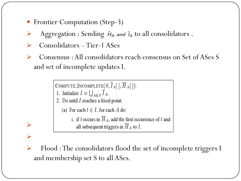- Frontier Computation (Step-3)
- Aggregation : Sending  $H_A$  and  $I_A$  to all consolidators.
- $\triangleright$  Consolidators Tier-1 ASes
- Consensus : All consolidators reach consensus on Set of ASes S and set of incomplete updates I.

```
COMPUTE_INCOMPLETE(S,\overline{I}_A[~],\overline{H}_A[~]):
```

```
1. Initialize I = \bigcup_{A \in S} \overline{I}_A.
```
 $\blacktriangleright$ 

 $\blacktriangleright$ 

- 2. Do until  $I$  reaches a fixed point:
	- (a) For each  $t \in I$ , for each A do:
		- i. if t occurs in  $\overline{H}_A$ , add the first occurrence of t and all subsequent triggers in  $\overline{H}_A$  to  $I$ .
- Flood : The consolidators flood the set of incomplete triggers I and membership set S to all ASes.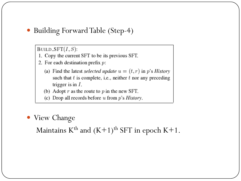Building Forward Table (Step-4)

BUILD\_SFT $(I, S)$ :

- 1. Copy the current SFT to be its previous SFT.
- 2. For each destination prefix  $p$ :
	- (a) Find the latest selected update  $u = (t, r)$  in p's History such that  $t$  is complete, i.e., neither  $t$  nor any preceding trigger is in  $I$ .
	- (b) Adopt  $r$  as the route to  $p$  in the new SFT.
	- (c) Drop all records before u from  $p$ 's *History*.
- View Change

Maintains  $K^{th}$  and  $(K+1)^{th}$  SFT in epoch  $K+1$ .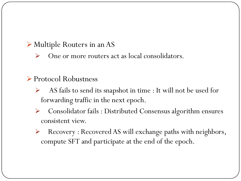#### Multiple Routers in an AS

 $\triangleright$  One or more routers act as local consolidators.

### ▶ Protocol Robustness

- $\triangleright$  AS fails to send its snapshot in time : It will not be used for forwarding traffic in the next epoch.
- Consolidator fails : Distributed Consensus algorithm ensures consistent view.
- Recovery : Recovered AS will exchange paths with neighbors, compute SFT and participate at the end of the epoch.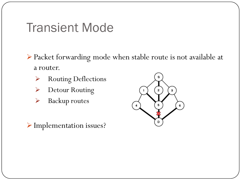### Transient Mode

- Packet forwarding mode when stable route is not available at a router.
	- Routing Deflections
	- Detour Routing
	- > Backup routes

Implementation issues?

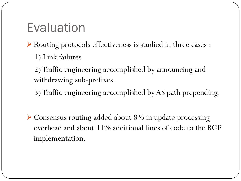# Evaluation

- Routing protocols effectiveness is studied in three cases : 1) Link failures
	- 2) Traffic engineering accomplished by announcing and withdrawing sub-prefixes.
	- 3) Traffic engineering accomplished by AS path prepending.
- Consensus routing added about 8% in update processing overhead and about 11% additional lines of code to the BGP implementation.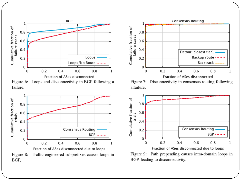

Figure 6: Loops and disconnectivity in BGP following a failure.







Figure 7: Disconnectivity in consensus routing following a failure.



Figure 9: Path prepending causes intra-domain loops in BGP, leading to disconnectivity.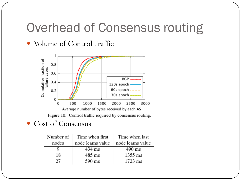## Overhead of Consensus routing

Volume of Control Traffic



Figure 10: Control traffic required by consensus routing.

Cost of Consensus

| Number of | Time when first   | Time when last    |
|-----------|-------------------|-------------------|
| nodes     | node learns value | node learns value |
|           | 434 ms            | $490 \text{ ms}$  |
| 18        | $485$ ms          | $1355$ ms         |
|           | $590$ ms          | $1723$ ms         |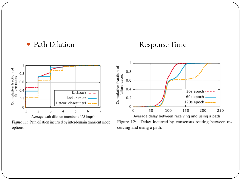### • Path Dilation Response Time



Average path dilation (number of AS hops) Figure 11: Path dilation incurred by interdomain transient mode options.



Average delay between receiving and using a path Figure 12: Delay incurred by consensus routing between receiving and using a path.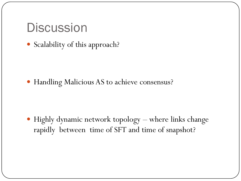## **Discussion**

Scalability of this approach?

Handling Malicious AS to achieve consensus?

 Highly dynamic network topology – where links change rapidly between time of SFT and time of snapshot?